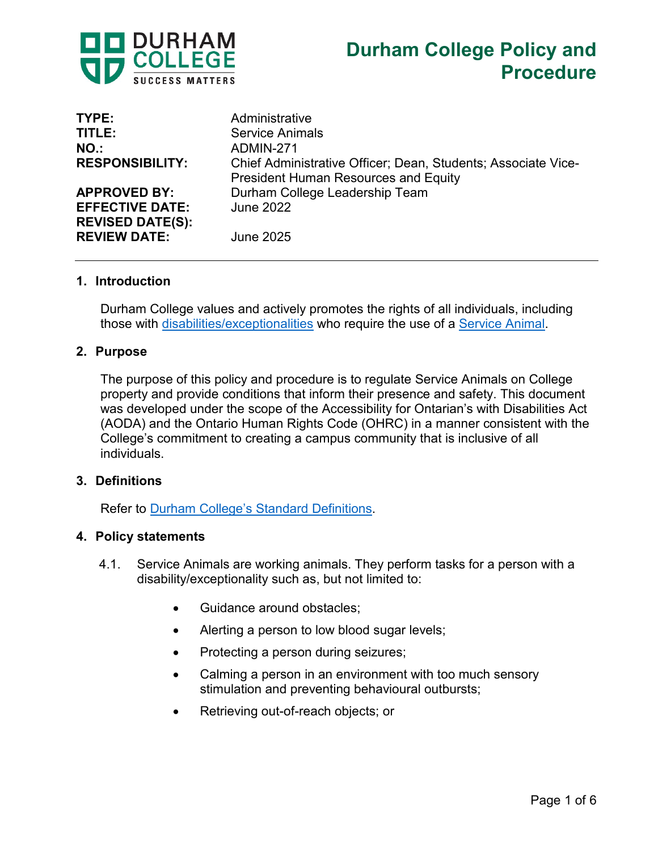

| TYPE:                                          | Administrative                                                                                               |
|------------------------------------------------|--------------------------------------------------------------------------------------------------------------|
| TITLE:                                         | <b>Service Animals</b>                                                                                       |
| NO.                                            | ADMIN-271                                                                                                    |
| <b>RESPONSIBILITY:</b>                         | Chief Administrative Officer; Dean, Students; Associate Vice-<br><b>President Human Resources and Equity</b> |
| <b>APPROVED BY:</b>                            | Durham College Leadership Team                                                                               |
| <b>EFFECTIVE DATE:</b>                         | <b>June 2022</b>                                                                                             |
| <b>REVISED DATE(S):</b><br><b>REVIEW DATE:</b> | <b>June 2025</b>                                                                                             |
|                                                |                                                                                                              |

#### **1. Introduction**

Durham College values and actively promotes the rights of all individuals, including those with [disabilities/exceptionalities](https://durhamcollege.ca/about/accessibility/notice-of-service-disruption#notice_of_service_disruption) who require the use of a [Service Animal.](https://durhamcollege.ca/about/accessibility/notice-of-service-disruption#notice_of_service_disruption)

#### **2. Purpose**

The purpose of this policy and procedure is to regulate Service Animals on College property and provide conditions that inform their presence and safety. This document was developed under the scope of the Accessibility for Ontarian's with Disabilities Act (AODA) and the Ontario Human Rights Code (OHRC) in a manner consistent with the College's commitment to creating a campus community that is inclusive of all individuals.

#### **3. Definitions**

Refer to [Durham College's Standard Definitions.](https://durhamcollege.ca/wp-content/uploads/Durham-College-Standard-Definitions.pdf)

#### **4. Policy statements**

- 4.1. Service Animals are working animals. They perform tasks for a person with a disability/exceptionality such as, but not limited to:
	- Guidance around obstacles;
	- Alerting a person to low blood sugar levels;
	- Protecting a person during seizures;
	- Calming a person in an environment with too much sensory stimulation and preventing behavioural outbursts;
	- Retrieving out-of-reach objects; or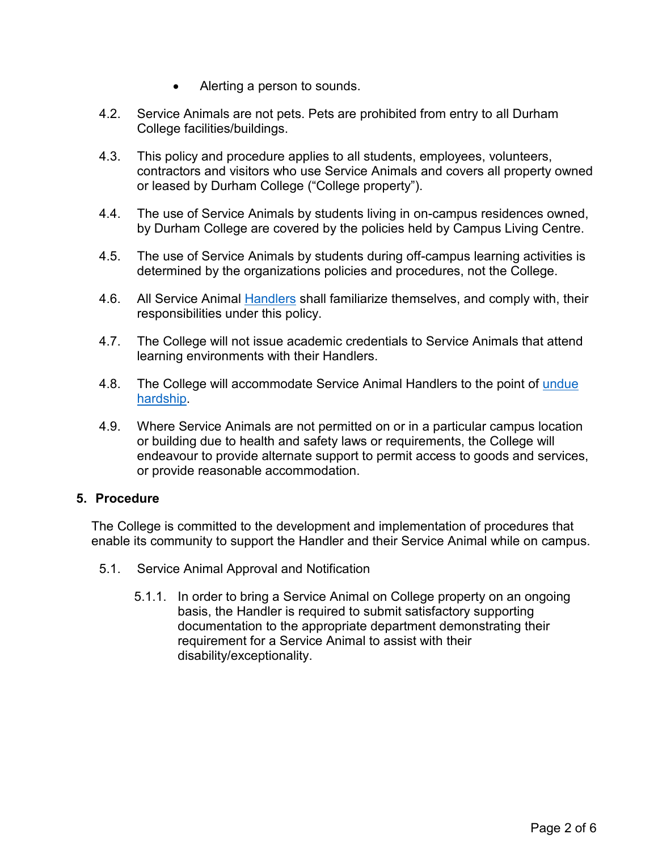- Alerting a person to sounds.
- 4.2. Service Animals are not pets. Pets are prohibited from entry to all Durham College facilities/buildings.
- 4.3. This policy and procedure applies to all students, employees, volunteers, contractors and visitors who use Service Animals and covers all property owned or leased by Durham College ("College property").
- 4.4. The use of Service Animals by students living in on-campus residences owned, by Durham College are covered by the policies held by Campus Living Centre.
- 4.5. The use of Service Animals by students during off-campus learning activities is determined by the organizations policies and procedures, not the College.
- 4.6. All Service Animal [Handlers](https://durhamcollege.ca/wp-content/uploads/Durham-College-Standard-Definitions.pdf) shall familiarize themselves, and comply with, their responsibilities under this policy.
- 4.7. The College will not issue academic credentials to Service Animals that attend learning environments with their Handlers.
- 4.8. The College will accommodate Service Animal Handlers to the point of undue [hardship.](https://durhamcollege.ca/wp-content/uploads/Durham-College-Standard-Definitions.pdf)
- 4.9. Where Service Animals are not permitted on or in a particular campus location or building due to health and safety laws or requirements, the College will endeavour to provide alternate support to permit access to goods and services, or provide reasonable accommodation.

## **5. Procedure**

The College is committed to the development and implementation of procedures that enable its community to support the Handler and their Service Animal while on campus.

- 5.1. Service Animal Approval and Notification
	- 5.1.1. In order to bring a Service Animal on College property on an ongoing basis, the Handler is required to submit satisfactory supporting documentation to the appropriate department demonstrating their requirement for a Service Animal to assist with their disability/exceptionality.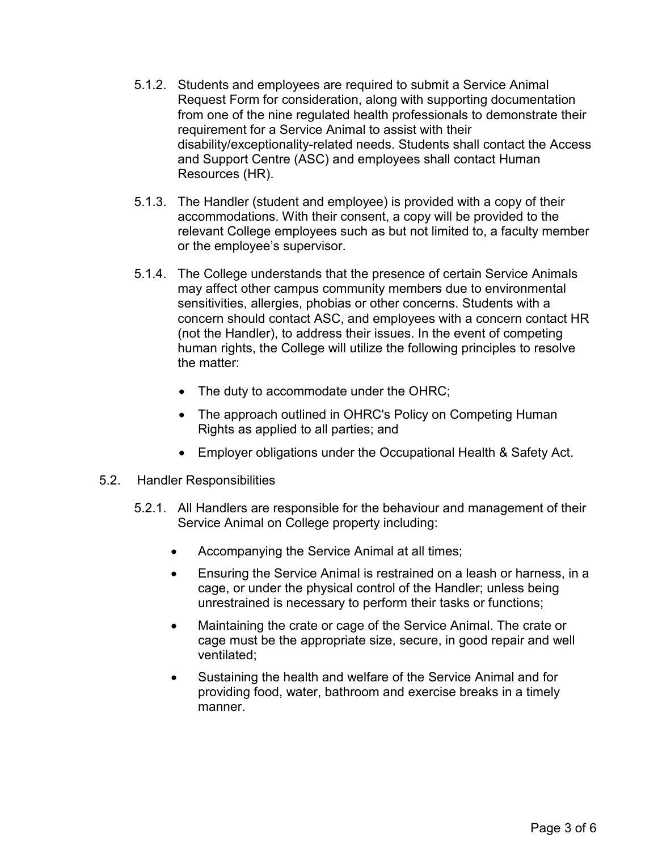- 5.1.2. Students and employees are required to submit a Service Animal Request Form for consideration, along with supporting documentation from one of the nine regulated health professionals to demonstrate their requirement for a Service Animal to assist with their disability/exceptionality-related needs. Students shall contact the Access and Support Centre (ASC) and employees shall contact Human Resources (HR).
- 5.1.3. The Handler (student and employee) is provided with a copy of their accommodations. With their consent, a copy will be provided to the relevant College employees such as but not limited to, a faculty member or the employee's supervisor.
- 5.1.4. The College understands that the presence of certain Service Animals may affect other campus community members due to environmental sensitivities, allergies, phobias or other concerns. Students with a concern should contact ASC, and employees with a concern contact HR (not the Handler), to address their issues. In the event of competing human rights, the College will utilize the following principles to resolve the matter:
	- The duty to accommodate under the OHRC;
	- The approach outlined in OHRC's Policy on Competing Human Rights as applied to all parties; and
	- Employer obligations under the Occupational Health & Safety Act.
- 5.2. Handler Responsibilities
	- 5.2.1. All Handlers are responsible for the behaviour and management of their Service Animal on College property including:
		- Accompanying the Service Animal at all times;
		- Ensuring the Service Animal is restrained on a leash or harness, in a cage, or under the physical control of the Handler; unless being unrestrained is necessary to perform their tasks or functions;
		- Maintaining the crate or cage of the Service Animal. The crate or cage must be the appropriate size, secure, in good repair and well ventilated;
		- Sustaining the health and welfare of the Service Animal and for providing food, water, bathroom and exercise breaks in a timely manner.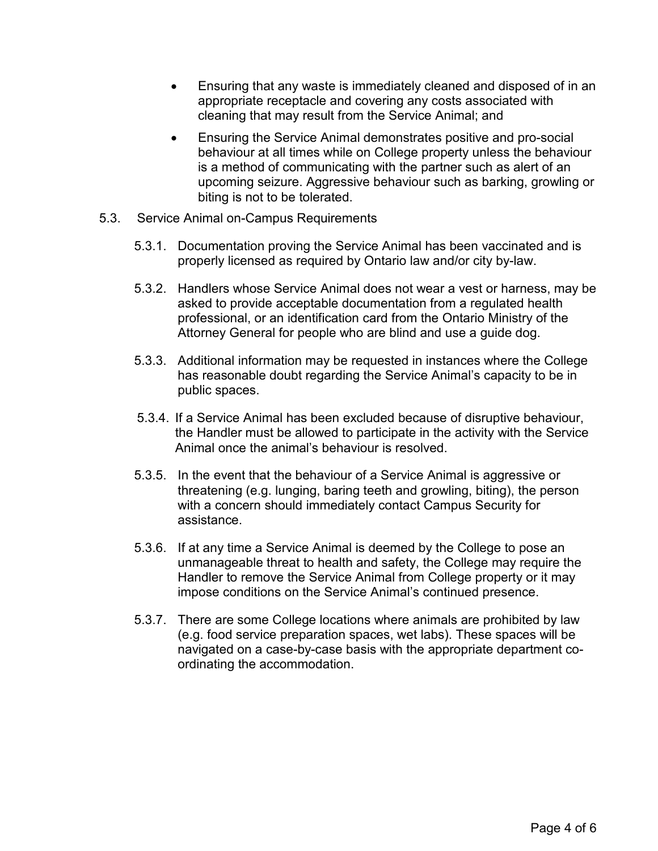- Ensuring that any waste is immediately cleaned and disposed of in an appropriate receptacle and covering any costs associated with cleaning that may result from the Service Animal; and
- Ensuring the Service Animal demonstrates positive and pro-social behaviour at all times while on College property unless the behaviour is a method of communicating with the partner such as alert of an upcoming seizure. Aggressive behaviour such as barking, growling or biting is not to be tolerated.
- 5.3. Service Animal on-Campus Requirements
	- 5.3.1. Documentation proving the Service Animal has been vaccinated and is properly licensed as required by Ontario law and/or city by-law.
	- 5.3.2. Handlers whose Service Animal does not wear a vest or harness, may be asked to provide acceptable documentation from a regulated health professional, or an identification card from the Ontario Ministry of the Attorney General for people who are blind and use a guide dog.
	- 5.3.3. Additional information may be requested in instances where the College has reasonable doubt regarding the Service Animal's capacity to be in public spaces.
	- 5.3.4. If a Service Animal has been excluded because of disruptive behaviour, the Handler must be allowed to participate in the activity with the Service Animal once the animal's behaviour is resolved.
	- 5.3.5. In the event that the behaviour of a Service Animal is aggressive or threatening (e.g. lunging, baring teeth and growling, biting), the person with a concern should immediately contact Campus Security for assistance.
	- 5.3.6. If at any time a Service Animal is deemed by the College to pose an unmanageable threat to health and safety, the College may require the Handler to remove the Service Animal from College property or it may impose conditions on the Service Animal's continued presence.
	- 5.3.7. There are some College locations where animals are prohibited by law (e.g. food service preparation spaces, wet labs). These spaces will be navigated on a case-by-case basis with the appropriate department coordinating the accommodation.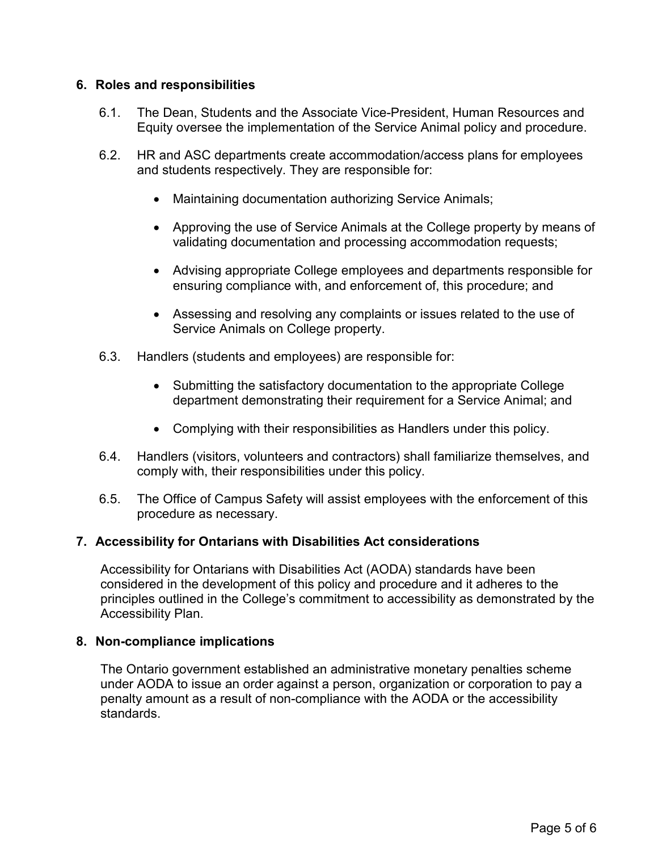## **6. Roles and responsibilities**

- 6.1. The Dean, Students and the Associate Vice-President, Human Resources and Equity oversee the implementation of the Service Animal policy and procedure.
- 6.2. HR and ASC departments create accommodation/access plans for employees and students respectively. They are responsible for:
	- Maintaining documentation authorizing Service Animals;
	- Approving the use of Service Animals at the College property by means of validating documentation and processing accommodation requests;
	- Advising appropriate College employees and departments responsible for ensuring compliance with, and enforcement of, this procedure; and
	- Assessing and resolving any complaints or issues related to the use of Service Animals on College property.
- 6.3. Handlers (students and employees) are responsible for:
	- Submitting the satisfactory documentation to the appropriate College department demonstrating their requirement for a Service Animal; and
	- Complying with their responsibilities as Handlers under this policy.
- 6.4. Handlers (visitors, volunteers and contractors) shall familiarize themselves, and comply with, their responsibilities under this policy.
- 6.5. The Office of Campus Safety will assist employees with the enforcement of this procedure as necessary.

# **7. Accessibility for Ontarians with Disabilities Act considerations**

Accessibility for Ontarians with Disabilities Act (AODA) standards have been considered in the development of this policy and procedure and it adheres to the principles outlined in the College's commitment to accessibility as demonstrated by the Accessibility Plan.

## **8. Non-compliance implications**

The Ontario government established an administrative monetary penalties scheme under AODA to issue an order against a person, organization or corporation to pay a penalty amount as a result of non-compliance with the AODA or the accessibility standards.